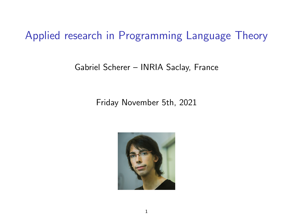Applied research in Programming Language Theory

#### Gabriel Scherer – INRIA Saclay, France

#### Friday November 5th, 2021

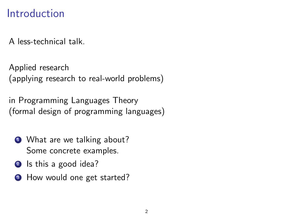### Introduction

A less-technical talk.

Applied research (applying research to real-world problems)

in Programming Languages Theory (formal design of programming languages)

- **1** What are we talking about? Some concrete examples.
- 2 Is this a good idea?
- **3** How would one get started?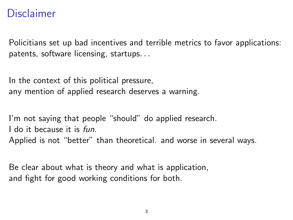#### Disclaimer

Policitians set up bad incentives and terrible metrics to favor applications: patents, software licensing, startups. . .

In the context of this political pressure, any mention of applied research deserves a warning.

I'm not saying that people "should" do applied research. I do it because it is fun. Applied is not "better" than theoretical. and worse in several ways.

Be clear about what is theory and what is application, and fight for good working conditions for both.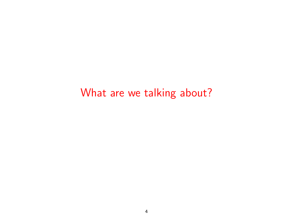# <span id="page-3-0"></span>[What are we talking about?](#page-3-0)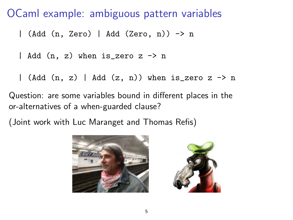#### OCaml example: ambiguous pattern variables

| (Add (n, Zero) | Add (Zero, n)) -> n

| Add (n, z) when is\_zero z -> n

| (Add  $(n, z)$  | Add  $(z, n)$ ) when is\_zero z -> n

Question: are some variables bound in different places in the or-alternatives of a when-guarded clause?

(Joint work with Luc Maranget and Thomas Refis)



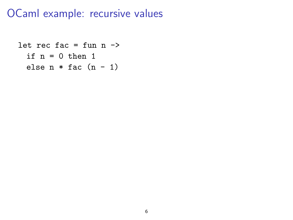### OCaml example: recursive values

```
let rec fac = fun n \rightarrowif n = 0 then 1
  else n * fac (n - 1)
```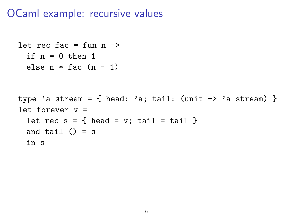#### OCaml example: recursive values

```
let rec fac = fun n \rightarrowif n = 0 then 1
 else n * fac (n - 1)type 'a stream = { head: 'a; tail: (unit \rightarrow 'a stream) }
let forever v =let rec s = \{ head = v; tail = tail \}and tail () = sin s
```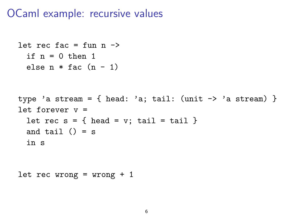#### OCaml example: recursive values

```
let rec fac = fun n \rightarrowif n = 0 then 1
 else n * fac (n - 1)type 'a stream = { head: 'a; tail: (unit \rightarrow 'a stream) }
let forever v =let rec s = \{ head = v; tail = tail \}and tail () = sin s
```

```
let rec wrong = wrong + 1
```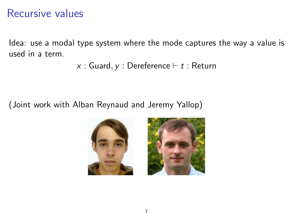#### Recursive values

Idea: use a modal type system where the mode captures the way a value is used in a term.

```
x : Guard, y : Dereference \vdash t : Return
```
(Joint work with Alban Reynaud and Jeremy Yallop)



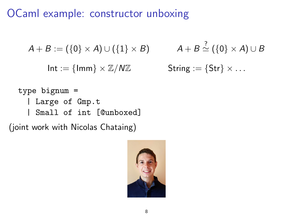# OCaml example: constructor unboxing

$$
A + B := (\{0\} \times A) \cup (\{1\} \times B) \qquad A + B
$$

 $Int := \{Imm\} \times \mathbb{Z}/N\mathbb{Z}$  states

$$
A + B \stackrel{?}{\simeq} (\{0\} \times A) \cup B
$$
  
String := {Str} \times ...

type bignum = | Large of Gmp.t | Small of int [@unboxed]

(joint work with Nicolas Chataing)

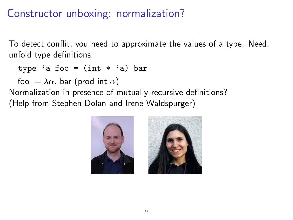# Constructor unboxing: normalization?

To detect conflit, you need to approximate the values of a type. Need: unfold type definitions.

type 'a foo =  $(int * 'a)$  bar

foo :=  $\lambda \alpha$ . bar (prod int  $\alpha$ )

Normalization in presence of mutually-recursive definitions? (Help from Stephen Dolan and Irene Waldspurger)



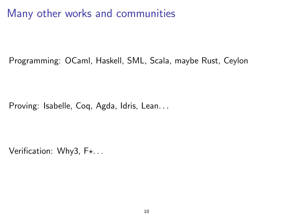# Many other works and communities

Programming: OCaml, Haskell, SML, Scala, maybe Rust, Ceylon

Proving: Isabelle, Coq, Agda, Idris, Lean. . .

Verification: Why3,  $F_{\star}$ ...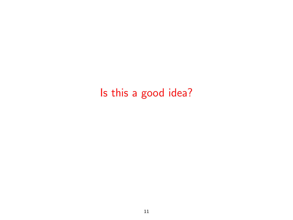# <span id="page-12-0"></span>[Is this a good idea?](#page-12-0)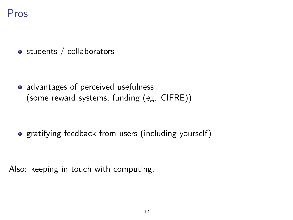## Pros

• students / collaborators

• advantages of perceived usefulness (some reward systems, funding (eg. CIFRE))

• gratifying feedback from users (including yourself)

Also: keeping in touch with computing.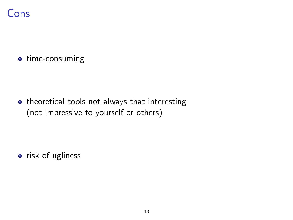

• time-consuming

• theoretical tools not always that interesting (not impressive to yourself or others)

• risk of ugliness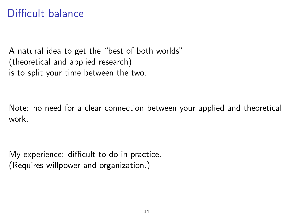## Difficult balance

A natural idea to get the "best of both worlds" (theoretical and applied research) is to split your time between the two.

Note: no need for a clear connection between your applied and theoretical work.

My experience: difficult to do in practice. (Requires willpower and organization.)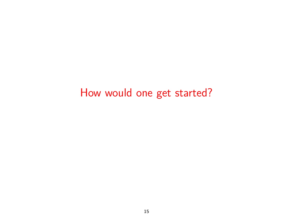# <span id="page-16-0"></span>[How would one get started?](#page-16-0)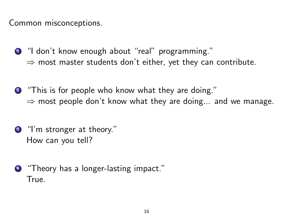Common misconceptions.

- <sup>1</sup> don't know enough about "real" programming."  $\Rightarrow$  most master students don't either, yet they can contribute.
- <sup>2</sup> "This is for people who know what they are doing."  $\Rightarrow$  most people don't know what they are doing... and we manage.
- <sup>3</sup> "I'm stronger at theory." How can you tell?
- <sup>4</sup> "Theory has a longer-lasting impact." True.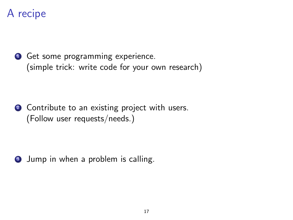# A recipe

**1** Get some programming experience. (simple trick: write code for your own research)

2 Contribute to an existing project with users. (Follow user requests/needs.)

**3** Jump in when a problem is calling.